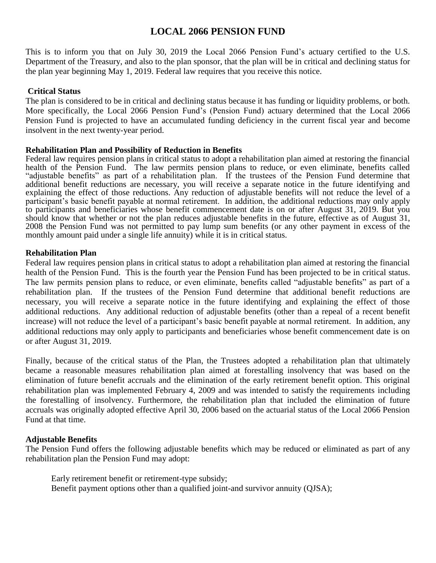# **LOCAL 2066 PENSION FUND**

This is to inform you that on July 30, 2019 the Local 2066 Pension Fund's actuary certified to the U.S. Department of the Treasury, and also to the plan sponsor, that the plan will be in critical and declining status for the plan year beginning May 1, 2019. Federal law requires that you receive this notice.

## **Critical Status**

The plan is considered to be in critical and declining status because it has funding or liquidity problems, or both. More specifically, the Local 2066 Pension Fund's (Pension Fund) actuary determined that the Local 2066 Pension Fund is projected to have an accumulated funding deficiency in the current fiscal year and become insolvent in the next twenty-year period.

### **Rehabilitation Plan and Possibility of Reduction in Benefits**

Federal law requires pension plans in critical status to adopt a rehabilitation plan aimed at restoring the financial health of the Pension Fund. The law permits pension plans to reduce, or even eliminate, benefits called "adjustable benefits" as part of a rehabilitation plan. If the trustees of the Pension Fund determine that additional benefit reductions are necessary, you will receive a separate notice in the future identifying and explaining the effect of those reductions. Any reduction of adjustable benefits will not reduce the level of a participant's basic benefit payable at normal retirement. In addition, the additional reductions may only apply to participants and beneficiaries whose benefit commencement date is on or after August 31, 2019. But you should know that whether or not the plan reduces adjustable benefits in the future, effective as of August 31, 2008 the Pension Fund was not permitted to pay lump sum benefits (or any other payment in excess of the monthly amount paid under a single life annuity) while it is in critical status.

### **Rehabilitation Plan**

Federal law requires pension plans in critical status to adopt a rehabilitation plan aimed at restoring the financial health of the Pension Fund. This is the fourth year the Pension Fund has been projected to be in critical status. The law permits pension plans to reduce, or even eliminate, benefits called "adjustable benefits" as part of a rehabilitation plan. If the trustees of the Pension Fund determine that additional benefit reductions are necessary, you will receive a separate notice in the future identifying and explaining the effect of those additional reductions. Any additional reduction of adjustable benefits (other than a repeal of a recent benefit increase) will not reduce the level of a participant's basic benefit payable at normal retirement. In addition, any additional reductions may only apply to participants and beneficiaries whose benefit commencement date is on or after August 31, 2019.

Finally, because of the critical status of the Plan, the Trustees adopted a rehabilitation plan that ultimately became a reasonable measures rehabilitation plan aimed at forestalling insolvency that was based on the elimination of future benefit accruals and the elimination of the early retirement benefit option. This original rehabilitation plan was implemented February 4, 2009 and was intended to satisfy the requirements including the forestalling of insolvency. Furthermore, the rehabilitation plan that included the elimination of future accruals was originally adopted effective April 30, 2006 based on the actuarial status of the Local 2066 Pension Fund at that time.

### **Adjustable Benefits**

The Pension Fund offers the following adjustable benefits which may be reduced or eliminated as part of any rehabilitation plan the Pension Fund may adopt:

Early retirement benefit or retirement-type subsidy; Benefit payment options other than a qualified joint-and survivor annuity (QJSA);